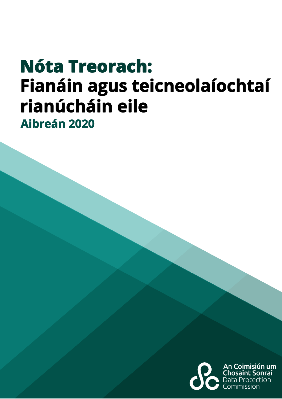# **Nóta Treorach:** Fianáin agus teicneolaíochtaí rianúcháin eile Aibreán 2020

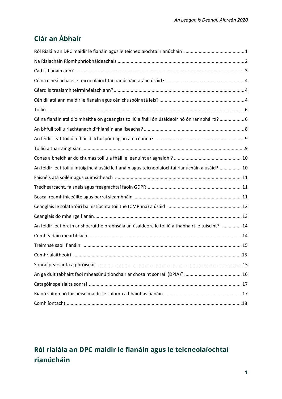# **Clár an Ábhair**

| Cé na fianáin atá díolmhaithe ón gceanglas toiliú a fháil ón úsáideoir nó ón rannpháirtí? 6     |
|-------------------------------------------------------------------------------------------------|
|                                                                                                 |
|                                                                                                 |
|                                                                                                 |
|                                                                                                 |
| An féidir leat toiliú intuigthe á úsáid le fianáin agus teicneolaíochtaí rianúcháin a úsáid? 10 |
|                                                                                                 |
|                                                                                                 |
|                                                                                                 |
|                                                                                                 |
|                                                                                                 |
| An féidir leat brath ar shocruithe brabhsála an úsáideora le toiliú a thabhairt le tuiscint? 14 |
|                                                                                                 |
|                                                                                                 |
|                                                                                                 |
|                                                                                                 |
|                                                                                                 |
|                                                                                                 |
|                                                                                                 |
|                                                                                                 |

# <span id="page-1-0"></span>**Ról rialála an DPC maidir le fianáin agus le teicneolaíochtaí rianúcháin**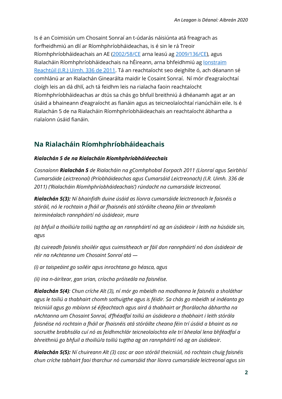Is é an Coimisiún um Chosaint Sonraí an t-údarás náisiúnta atá freagrach as forfheidhmiú an dlí ar Ríomhphríobháideachas, is é sin le rá Treoir Ríomhphríobháideachais an AE [\(2002/58/CE](https://eur-lex.europa.eu/legal-content/EN/TXT/HTML/?uri=CELEX:32002L0058&from=EN) arna leasú ag [2009/136/CE\)](https://eur-lex.europa.eu/LexUriServ/LexUriServ.do?uri=OJ:L:2009:337:0011:0036:en:PDF), agus Rialacháin Ríomhphríobháideachais na hÉireann, arna bhfeidhmiú ag lonstraim [Reachtúil \(I.R.\) Uimh. 336 de](http://www.irishstatutebook.ie/eli/2011/si/336/made/en/print?q=electronic+privacy&years=2011) 2011. Tá an reachtaíocht seo deighilte ó, ach déanann sé comhlánú ar an Rialachán Ginearálta maidir le Cosaint Sonraí. Ní mór d'eagraíochtaí cloígh leis an dá dhlí, ach tá feidhm leis na rialacha faoin reachtaíocht Ríomhphríobháideachas ar dtús sa chás go bhfuil breithniú á dhéanamh agat ar an úsáid a bhaineann d'eagraíocht as fianáin agus as teicneolaíochtaí rianúcháin eile. Is é Rialachán 5 de na Rialacháin Ríomhphríobháideachais an reachtaíocht ábhartha a rialaíonn úsáid fianáin.

# <span id="page-2-0"></span>**Na Rialacháin Ríomhphríobháideachais**

#### *Rialachán 5 de na Rialacháin Ríomhphríobháideachais*

*Cosnaíonn Rialachán 5 de Rialacháin na gComhphobal Eorpach 2011 (Líonraí agus Seirbhísí Cumarsáide Leictreonaí) (Príobháideachas agus Cumarsáid Leictreonach) (I.R. Uimh. 336 de 2011) ('Rialacháin Ríomhphríobháideachais') rúndacht na cumarsáide leictreonaí.* 

*Rialachán 5(3): Ní bhainfidh duine úsáid as líonra cumarsáide leictreonach le faisnéis a stóráil, nó le rochtain a fháil ar fhaisnéis atá stóráilte cheana féin ar threalamh teirminéalach rannpháirtí nó úsáideoir, mura*

*(a) bhfuil a thoiliú/a toiliú tugtha ag an rannpháirtí nó ag an úsáideoir i leith na húsáide sin, agus*

*(b) cuireadh faisnéis shoiléir agus cuimsitheach ar fáil don rannpháirtí nó don úsáideoir de réir na nAchtanna um Chosaint Sonraí atá —*

*(i) ar taispeáint go soiléir agus inrochtana go héasca, agus*

*(ii) ina n-áirítear, gan srian, críocha próiseála na faisnéise.*

*Rialachán 5(4): Chun críche Alt (3), ní mór go mbeidh na modhanna le faisnéis a sholáthar agus le toiliú a thabhairt chomh sothuigthe agus is féidir. Sa chás go mbeidh sé indéanta go teicniúil agus go mbíonn sé éifeachtach agus aird á thabhairt ar fhorálacha ábhartha na nAchtanna um Chosaint Sonraí, d'fhéadfaí toiliú an úsáideora a thabhairt i leith stórála faisnéise nó rochtain a fháil ar fhaisnéis atá stóráilte cheana féin trí úsáid a bhaint as na socruithe brabhsála cuí nó as feidhmchlár teicneolaíochta eile trí bhealaí lena bhféadfaí a bhreithniú go bhfuil a thoiliú/a toiliú tugtha ag an rannpháirtí nó ag an úsáideoir.*

*Rialachán 5(5): Ní chuireann Alt (3) cosc ar aon stóráil theicniúil, nó rochtain chuig faisnéis chun críche tabhairt faoi tharchur nó cumarsáid thar líonra cumarsáide leictreonaí agus sin*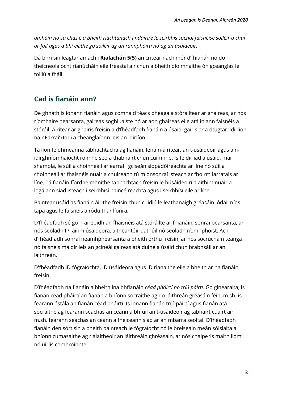*amháin nó sa chás é a bheith riachtanach i ndáiríre le seirbhís sochaí faisnéise soiléir a chur ar fáil agus a bhí éilithe go soiléir ag an rannpháirtí nó ag an úsáideoir.*

Dá bhrí sin leagtar amach i **Rialachán 5(5)** an critéar nach mór d'fhianán nó do theicneolaíocht rianúcháin eile freastal air chun a bheith díolmhaithe ón gceanglas le toiliú a fháil.

# <span id="page-3-0"></span>**Cad is fianáin ann?**

De ghnáth is ionann fianáin agus comhaid téacs bheaga a stóráiltear ar ghaireas, ar nós ríomhaire pearsanta, gaireas soghluaiste nó ar aon ghaireas eile atá in ann faisnéis a stóráil. Áirítear ar ghairis freisin a d'fhéadfadh fianáin a úsáid, gairis ar a dtugtar 'Idirlíon na nEarraí' (IoT) a cheanglaíonn leis an idirlíon.

Tá líon feidhmeanna tábhachtacha ag fianáin, lena n-áirítear, an t-úsáideoir agus a nidirghníomhaíocht roimhe seo a thabhairt chun cuimhne. Is féidir iad a úsáid, mar shampla, le súil a choinneáil ar earraí i gciseán siopadóireachta ar líne nó súil a choinneáil ar fhaisnéis nuair a chuireann tú mionsonraí isteach ar fhoirm iarratais ar líne. Tá fianáin fíordheimhnithe tábhachtach freisin le húsáideoirí a aithint nuair a logálann siad isteach i seirbhísí baincéireachta agus i seirbhísí eile ar líne.

Baintear úsáid as fianáin áirithe freisin chun cuidiú le leathanaigh gréasáin lódáil níos tapa agus le faisnéis a ródú thar líonra.

D'fhéadfadh sé go n-áireoidh an fhaisnéis atá stóráilte ar fhianáin, sonraí pearsanta, ar nós seoladh IP, ainm úsáideora, aitheantóir uathúil nó seoladh ríomhphoist. Ach d'fhéadfadh sonraí neamhphearsanta a bheith orthu freisin, ar nós socrúcháin teanga nó faisnéis maidir leis an gcineál gaireas atá duine a úsáid chun brabhsáil ar an láithreán.

D'fhéadfadh ID fógraíochta, ID úsáideora agus ID rianaithe eile a bheith ar na fianáin freisin.

D'fhéadfadh na fianáin a bheith ina bhfianáin *céad pháirtí nó tríú páirtí*. Go ginearálta, is fianán céad pháirtí an fianán a bhíonn socraithe ag do láithreán gréasáin féin, m.sh. is fearann óstála an fianán céad pháirtí. Is ionann fianán tríú páirtí agus fianán atá socraithe ag fearann seachas an ceann a bhfuil an t-úsáideoir ag tabhairt cuairt air, m.sh. fearann seachas an ceann a fheiceann siad ar an mbarra seoltaí. D'fhéadfadh fianáin den sórt sin a bheith bainteach le fógraíocht nó le breiseáin meán sóisialta a bhíonn cumasaithe ag rialaitheoir an láithreáin ghréasáin, ar nós cnaipe 'is maith liom' nó uirlis comhroinnte.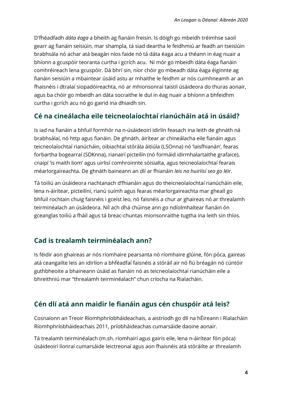D'fhéadfadh *dáta éaga* a bheith ag fianáin freisin. Is dóigh go mbeidh tréimhse saoil gearr ag fianáin seisiúin, mar shampla, tá siad deartha le feidhmiú ar feadh an tseisiúin brabhsála nó achar atá beagán níos faide nó tá dáta éaga acu a théann in éag nuair a bhíonn a gcuspóir teoranta curtha i gcrích acu. Ní mór go mbeidh dáta éaga fianáin comhréireach lena gcuspóir. Dá bhrí sin, níor chóir go mbeadh dáta éaga éiginnte ag fianáin seisiúin a mbaintear úsáid astu ar mhaithe le feidhm ar nós cuimhneamh ar an fhaisnéis i dtralaí siopadóireachta, nó ar mhionsonraí taistil úsáideora do thuras aonair, agus ba chóir go mbeidh an dáta socraithe le dul in éag nuair a bhíonn a bhfeidhm curtha i gcrích acu nó go gairid ina dhiaidh sin.

#### <span id="page-4-0"></span>**Cé na cineálacha eile teicneolaíochtaí rianúcháin atá in úsáid?**

Is iad na fianáin a bhfuil formhór na n-úsáideoirí idirlín feasach ina leith de ghnáth ná brabhsálaí, nó http agus fianáin. De ghnáth, áirítear ar chineálacha eile fianáin agus teicneolaíochtaí rianúcháin, oibiachtaí stórála áitiúla (LSOnna) nó 'laisfhianán', fearas forbartha bogearraí (SDKnna), rianairí picteilín (nó formáid idirmhalartaithe grafaice), cnaipí 'is maith liom' agus uirlisí comhroinnte sóisialta, agus teicneolaíochtaí fearais méarlorgaireachta. De ghnáth baineann an dlí ar fhianáin *leis na huirlisí seo go léir*.

Tá toiliú an úsáideora riachtanach d'fhianáin agus do theicneolaíochtaí rianúcháin eile, lena n-áirítear, picteilíní, rianú suímh agus fearas méarlorgaireachta mar gheall go bhfuil rochtain chuig faisnéis i gceist leo, nó faisnéis a chur ar ghaireas nó ar threalamh teirminéalach an úsáideora. Níl ach dhá chúinse ann go ndíolmhaítear fianáin ón gceanglas toiliú a fháil agus tá breac-chuntas mionsonraithe tugtha ina leith sin thíos.

# <span id="page-4-1"></span>**Cad is trealamh teirminéalach ann?**

Is féidir aon ghaireas ar nós ríomhaire pearsanta nó ríomhaire glúine, fón póca, gaireas atá ceangailte leis an idirlíon a bhféadfaí faisnéis a stóráil air nó fiú bréagán nó cúntóir guthbheoite a bhaineann úsáid as fianáin nó as teicneolaíochtaí rianúcháin eile a bhreithniú mar "threalamh teirminéalach" chun críocha na Rialacháin.

# <span id="page-4-2"></span>**Cén dlí atá ann maidir le fianáin agus cén chuspóir atá leis?**

Cosnaíonn an Treoir Ríomhphríobháideachais, a aistríodh go dlí na hÉireann i Rialacháin Ríomhphríobháideachais 2011, príobháideachas cumarsáide daoine aonair.

Tá trealamh teirminéalach (m.sh. ríomhairí agus gairis eile, lena n-áirítear fón póca) úsáideoirí líonraí cumarsáide leictreonaí agus aon fhaisnéis atá stóráilte ar threalamh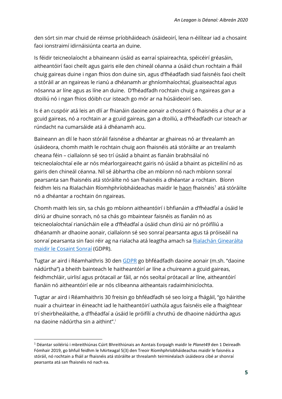den sórt sin mar chuid de réimse príobháideach úsáideoirí, lena n-éilítear iad a chosaint faoi ionstraimí idirnáisiúnta cearta an duine.

Is féidir teicneolaíocht a bhaineann úsáid as earraí spiaireachta, spéicéirí gréasáin, aitheantóirí faoi cheilt agus gairis eile den chineál céanna a úsáid chun rochtain a fháil chuig gaireas duine i ngan fhios don duine sin, agus d'fhéadfadh siad faisnéis faoi cheilt a stóráil ar an ngaireas le rianú a dhéanamh ar ghníomhaíochtaí, gluaiseachtaí agus nósanna ar líne agus as líne an duine. D'fhéadfadh rochtain chuig a ngaireas gan a dtoiliú nó i ngan fhios dóibh cur isteach go mór ar na húsáideoirí seo.

Is é an cuspóir atá leis an dlí ar fhianáin daoine aonair a chosaint ó fhaisnéis a chur ar a gcuid gaireas, nó a rochtain ar a gcuid gaireas, gan a dtoiliú, a d'fhéadfadh cur isteach ar rúndacht na cumarsáide atá á dhéanamh acu.

Baineann an dlí le haon stóráil faisnéise a dhéantar ar ghaireas nó ar threalamh an úsáideora, chomh maith le rochtain chuig aon fhaisnéis atá stóráilte ar an trealamh cheana féin – ciallaíonn sé seo trí úsáid a bhaint as fianáin brabhsálaí nó teicneolaíochtaí eile ar nós méarlorgaireacht gairis nó úsáid a bhaint as picteilíní nó as gairis den chineál céanna. Níl sé ábhartha cíbe an mbíonn nó nach mbíonn sonraí pearsanta san fhaisnéis atá stóráilte nó san fhaisnéis a dhéantar a rochtain. Bíonn feidhm leis na Rialacháin Ríomhphríobháideachas maidir le haon fhaisnéis<sup>1</sup> atá stóráilte nó a dhéantar a rochtain ón ngaireas.

Chomh maith leis sin, sa chás go mbíonn aitheantóirí i bhfianáin a d'fhéadfaí a úsáid le díriú ar dhuine sonrach, nó sa chás go mbaintear faisnéis as fianáin nó as teicneolaíochtaí rianúcháin eile a d'fhéadfaí a úsáid chun díriú air nó próifíliú a dhéanamh ar dhaoine aonair, ciallaíonn sé seo sonraí pearsanta agus tá próiseáil na sonraí pearsanta sin faoi réir ag na rialacha atá leagtha amach sa Rialachán Ginearálta maidir le Cosaint Sonraí (GDPR).

Tugtar ar aird i Réamhaithris 30 den [GDPR](https://eur-lex.europa.eu/legal-content/EN/TXT/PDF/?uri=CELEX:32016R0679) go bhféadfadh daoine aonair (m.sh. "daoine nádúrtha") a bheith bainteach le haitheantóirí ar líne a chuireann a gcuid gaireas, feidhmchláir, uirlisí agus prótacail ar fáil, ar nós seoltaí prótacail ar líne, aitheantóirí fianáin nó aitheantóirí eile ar nós clibeanna aitheantais radaimhinicíochta.

Tugtar ar aird i Réamhaithris 30 freisin go bhféadfadh sé seo loirg a fhágáil, "go háirithe nuair a chuirtear in éineacht iad le haitheantóirí uathúla agus faisnéis eile a fhaightear trí sheirbheálaithe, a d'fhéadfaí a úsáid le próifílí a chruthú de dhaoine nádúrtha agus na daoine nádúrtha sin a aithint". i

1

<sup>1</sup> Déantar soiléiriú i mbreithiúnas Cúirt Bhreithiúnais an Aontais Eorpaigh maidir le *Planet49* den 1 Deireadh Fómhair 2019, go bhfuil feidhm le hAirteagal 5(3) den Treoir Ríomhphríobháideachas maidir le faisnéis a stóráil, nó rochtain a fháil ar fhaisnéis atá stóráilte ar threalamh teirminéalach úsáideora cibé ar shonraí pearsanta atá san fhaisnéis nó nach ea.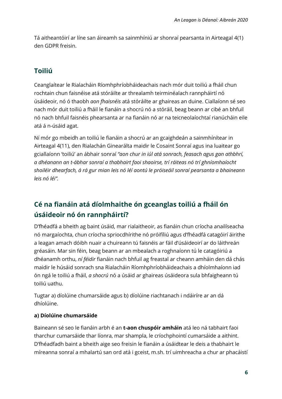Tá aitheantóirí ar líne san áireamh sa sainmhíniú ar shonraí pearsanta in Airteagal 4(1) den GDPR freisin.

# **Toiliú**

Ceanglaítear le Rialacháin Ríomhphríobháideachais nach mór duit toiliú a fháil chun rochtain chun faisnéise atá stóráilte ar threalamh teirminéalach rannpháirtí nó úsáideoir, nó ó thaobh *aon fhaisnéis* atá stóráilte ar ghaireas an duine. Ciallaíonn sé seo nach mór duit toiliú a fháil le fianáin a shocrú nó a stóráil, beag beann ar cibé an bhfuil nó nach bhfuil faisnéis phearsanta ar na fianáin nó ar na teicneolaíochtaí rianúcháin eile atá á n-úsáid agat.

Ní mór go mbeidh an toiliú le fianáin a shocrú ar an gcaighdeán a sainmhínítear in Airteagal 4(11), den Rialachán Ginearálta maidir le Cosaint Sonraí agus ina luaitear go gciallaíonn 'toiliú' an ábhair sonraí *"aon chur in iúl atá sonrach, feasach agus gan athbhrí, a dhéanann an t-ábhar sonraí a thabhairt faoi shaoirse, trí ráiteas nó trí ghníomhaíocht shoiléir dhearfach, á rá gur mian leis nó léí aontú le próiseáil sonraí pearsanta a bhaineann leis nó léi".*

# <span id="page-6-0"></span>**Cé na fianáin atá díolmhaithe ón gceanglas toiliú a fháil ón úsáideoir nó ón rannpháirt[í?](#page-6-0)**

D'fhéadfá a bheith ag baint úsáid, mar rialaitheoir, as fianáin chun críocha anailíseacha nó margaíochta, chun críocha spriocdhírithe nó próifíliú agus d'fhéadfá catagóirí áirithe a leagan amach dóibh nuair a chuireann tú faisnéis ar fáil d'úsáideoirí ar do láithreán gréasáin. Mar sin féin, beag beann ar an mbealach a roghnaíonn tú le catagóiriú a dhéanamh orthu, *ní féidir* fianáin nach bhfuil ag freastal ar cheann amháin den dá chás maidir le húsáid sonrach sna Rialacháin Ríomhphríobháideachais a dhíolmhaíonn iad ón ngá le toiliú a fháil, *a shocrú* nó a úsáid ar ghaireas úsáideora sula bhfaigheann tú toiliú uathu.

Tugtar a) díolúine chumarsáide agus b) díolúine riachtanach i ndáiríre ar an dá dhíolúine.

#### **a) Díolúine chumarsáide**

Baineann sé seo le fianáin arbh é an **t-aon chuspóir amháin** atá leo ná tabhairt faoi tharchur cumarsáide thar líonra, mar shampla, le críochphointí cumarsáide a aithint. D'fhéadfadh baint a bheith aige seo freisin le fianáin a úsáidtear le deis a thabhairt le míreanna sonraí a mhalartú san ord atá i gceist, m.sh. trí uimhreacha a chur ar phacáistí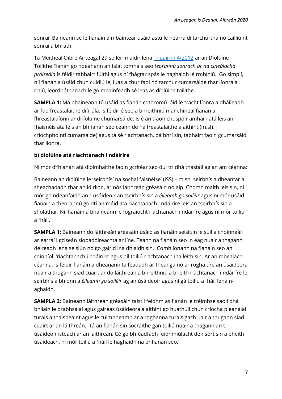sonraí. Baineann sé le fianáin a mbaintear úsáid astú le hearráidí tarchurtha nó cailliúint sonraí a bhrath.

Tá Meitheal Oibre Airteagal 29 soiléir maidir lena Thuairim [4/2012](https://ec.europa.eu/justice/article-29/documentation/opinion-recommendation/files/2012/wp194_en.pdf) ar an Díolúine Toilithe Fianán go ndéanann an tslat tomhais seo *teorannú sonrach ar na cineálacha próiseála* is féidir tabhairt fúithi agus ní fhágtar spás le haghaidh léirmhíniú. Go simplí, níl fianán a úsáid chun cuidiú le, luas a chur faoi nó tarchur cumarsáide thar líonra a rialú, leordhóthanach le go mbainfeadh sé leas as díolúine toilithe.

**SAMPLA 1:** Má bhaineann tú úsáid as fianán cothromú lóid le trácht líonra a dháileadh ar fud freastalaithe difriúla, is féidir é seo a bhreithniú mar chineál fianán a fhreastalaíonn ar dhíolúine chumarsáide. Is é an t-aon chuspóir amháin atá leis an fhaisnéis atá leis an bhfianán seo ceann de na freastalaithe a aithint (m.sh. críochphointí cumarsáide) agus tá sé riachtanach, dá bhrí sin, tabhairt faoin gcumarsáid thar líonra.

#### **b) díolúine atá riachtanach i ndáiríre**

Ní mór d'fhianán atá díolmhaithe faoin gcritéar seo dul trí dhá thástáil ag an am céanna:

Baineann an díolúine le 'seirbhísí na sochaí faisnéise' (ISS) – m.sh. seirbhís a dhéantar a sheachadadh thar an idirlíon, ar nós láithreán gréasáin nó aip. Chomh maith leis sin, ní mór go ndéanfaidh an t-úsáideoir an tseirbhís sin a *éileamh go soiléir* agus ní mór úsáid fianáin a theorannú go dtí an méid atá riachtanach i ndáiríre leis an tseirbhís sin a sholáthar. Níl fianáin a bhaineann le fógraíocht riachtanach i ndáiríre agus ní mór toiliú a fháil.

**SAMPLA 1:** Baineann do láithreán gréasáin úsáid as fianáin seisiúin le súil a choinneáil ar earraí i gciseán siopadóireachta ar líne. Téann na fianáin seo in éag nuair a thagann deireadh lena seisiún nó go gairid ina dhiaidh sin. Comhlíonann na fianáin seo an coinníoll 'riachtanach i ndáiríre' agus níl toiliú riachtanach ina leith sin. Ar an mbealach céanna, is féidir fianáin a dhéanann taifeadadh ar theanga nó ar rogha tíre an úsáideora nuair a thugann siad cuairt ar do láithreán a bhreithniú a bheith riachtanach i ndáiríre le seirbhís a bhíonn a *éileamh go soiléir* ag an úsáideoir agus ní gá toiliú a fháil lena naghaidh.

**SAMPLA 2:** Baineann láithreán gréasáin taistil feidhm as fianán le tréimhse saoil dhá bhliain le brabhsálaí agus gaireas úsáideora a aithint go huathúil chun críocha pleanálaí turais a thaispeáint agus le cuimhneamh ar a roghanna turais gach uair a thugann siad cuairt ar an láithreán. Tá an fianán sin socraithe gan toiliú nuair a thagann an túsáideoir isteach ar an láithreán. Cé go bhféadfadh feidhmiúlacht den sórt sin a bheith úsáideach, ní mór toiliú a fháil le haghaidh na bhfianán seo.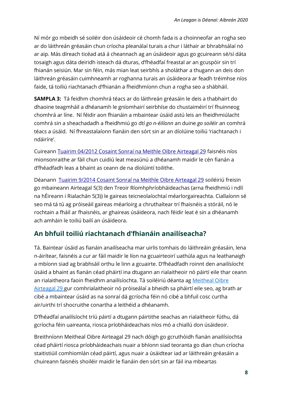Ní mór go mbeidh sé soiléir don úsáideoir cé chomh fada is a choinneofar an rogha seo ar do láithreán gréasáin chun críocha pleanálaí turais a chur i láthair ar bhrabhsálaí nó ar aip. Más díreach ticéad atá á cheannach ag an úsáideoir agus go gcuireann sé/sí dáta tosaigh agus dáta deiridh isteach dá dturas, d'fhéadfaí freastal ar an gcuspóir sin trí fhianán seisiún. Mar sin féin, más mian leat seirbhís a sholáthar a thugann an deis don láithreán gréasáin cuimhneamh ar roghanna turais an úsáideora ar feadh tréimhse níos faide, tá toiliú riachtanach d'fhianán a fheidhmíonn chun a rogha seo a shábháil.

**SAMPLA 3:** Tá feidhm chomhrá téacs ar do láithreán gréasáin le deis a thabhairt do dhaoine teagmháil a dhéanamh le gníomhairí seirbhíse do chustaiméirí trí fhuinneog chomhrá ar líne. Ní féidir aon fhianáin a mbaintear úsáid astú leis an fheidhmiúlacht comhrá sin a sheachadadh a fheidhmiú go dtí *go n-éilíonn* an duine *go soiléir* an comhrá téacs a úsáid. Ní fhreastalaíonn fianáin den sórt sin ar an díolúine toiliú 'riachtanach i ndáiríre'.

Cuireann Tuairim 04/2012 Cosaint Sonraí na Meithle [Oibre Airteagal 29](https://ec.europa.eu/justice/article-29/documentation/opinion-recommendation/files/2012/wp194_en.pdf) faisnéis níos mionsonraithe ar fáil chun cuidiú leat measúnú a dhéanamh maidir le cén fianán a d'fhéadfadh leas a bhaint as ceann de na díolúintí toilithe.

Déanann Tuairim [9/2014 Cosaint Sonraí na Meithle](https://ec.europa.eu/justice/article-29/documentation/opinion-recommendation/files/2014/wp224_en.pdf) Oibre Airteagal 29 soiléiriú freisin go mbaineann Airteagal 5(3) den Treoir Ríomhphríobháideachas (arna fheidhmiú i ndlí na hÉireann i Rialachán 5(3)) le gaireas teicneolaíochtaí méarlorgaireachta. Ciallaíonn sé seo má tá tú ag próiseáil gaireas méarloirg a chruthaítear trí fhaisnéis a stóráil, nó le rochtain a fháil ar fhaisnéis, ar ghaireas úsáideora, nach féidir leat é sin a dhéanamh ach amháin le toiliú bailí an úsáideora.

# <span id="page-8-0"></span>**An bhfuil toiliú riachtanach d'fhianáin anailíseacha?**

Tá. Baintear úsáid as fianáin anailíseacha mar uirlis tomhais do láithreáin gréasáin, lena n-áirítear, faisnéis a cur ar fáil maidir le líon na gcuairteoirí uathúla agus na leathanaigh a mbíonn siad ag brabhsáil orthu le linn a gcuairte. D'fhéadfadh roinnt den anailísíocht úsáid a bhaint as fianán céad pháirtí ina dtugann an rialaitheoir nó páirtí eile thar ceann an rialaitheora faoin fheidhm anailísíochta. Tá soiléiriú déanta ag Meitheal Oibre Airteagal [29 g](https://ec.europa.eu/justice/article-29/documentation/opinion-recommendation/files/2012/wp194_en.pdf)ur comhrialaitheoir nó próiseálaí a bheidh sa pháirtí eile seo, ag brath ar cibé a mbaintear úsáid as na sonraí dá gcríocha féin nó cibé a bhfuil cosc curtha air/uirthi trí shocruithe conartha a leithéid a dhéanamh.

D'fhéadfaí anailísíocht tríú páirtí a dtugann páirtithe seachas an rialaitheoir fúthu, dá gcríocha féin uaireanta, riosca príobháideachais níos mó a chiallú don úsáideoir.

Breithníonn Meitheal Oibre Airteagal 29 nach dóigh go gcruthóidh fianán anailísíochta céad pháirtí riosca príobháideachais nuair a bhíonn siad teoranta go dian chun críocha staitistiúil comhiomlán céad páirtí, agus nuair a úsáidtear iad ar láithreáin gréasáin a chuireann faisnéis shoiléir maidir le fianáin den sórt sin ar fáil ina mbeartas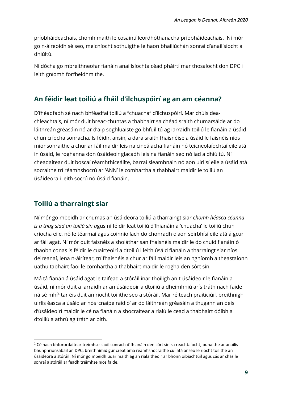príobháideachais, chomh maith le cosaintí leordhóthanacha príobháideachais. Ní mór go n-áireoidh sé seo, meicníocht sothuigthe le haon bhailiúchán sonraí d'anailísíocht a dhiúltú.

Ní dócha go mbreithneofar fianáin anailísíochta céad pháirtí mar thosaíocht don DPC i leith gníomh forfheidhmithe.

# <span id="page-9-0"></span>**An féidir leat toiliú a fháil d'ilchuspóirí ag an am céanna?**

D'fhéadfadh sé nach bhféadfaí toiliú a "chuacha" d'ilchuspóirí. Mar chúis deachleachtais, ní mór duit breac-chuntas a thabhairt sa chéad sraith chumarsáide ar do láithreán gréasáin nó ar d'aip soghluaiste go bhfuil tú ag iarraidh toiliú le fianáin a úsáid chun críocha sonracha. Is féidir, ansin, a dara sraith fhaisnéise a úsáid le faisnéis níos mionsonraithe a chur ar fáil maidir leis na cineálacha fianáin nó teicneolaíochtaí eile atá in úsáid, le roghanna don úsáideoir glacadh leis na fianáin seo nó iad a dhiúltú. Ní cheadaítear duit boscaí réamhthiceáilte, barraí sleamhnáin nó aon uirlisí eile a úsáid atá socraithe trí réamhshocrú ar 'ANN' le comhartha a thabhairt maidir le toiliú an úsáideora i leith socrú nó úsáid fianáin.

# **Toiliú a tharraingt siar**

1

Ní mór go mbeidh ar chumas an úsáideora toiliú a tharraingt siar *chomh héasca céanna is a thug siad an toiliú sin a*gus ní féidir leat toiliú d'fhianáin a 'chuacha' le toiliú chun críocha eile, nó le téarmaí agus coinníollach do chonradh d'aon seirbhísí eile atá á gcur ar fáil agat. Ní mór duit faisnéis a sholáthar san fhaisnéis maidir le do chuid fianáin ó thaobh conas is féidir le cuairteoirí a dtoiliú i leith úsáid fianáin a tharraingt siar níos deireanaí, lena n-áirítear, trí fhaisnéis a chur ar fáil maidir leis an ngníomh a theastaíonn uathu tabhairt faoi le comhartha a thabhairt maidir le rogha den sórt sin.

Má tá fianán á úsáid agat le taifead a stóráil inar thoiligh an t-úsáideoir le fianáin a úsáid, ní mór duit a iarraidh ar an úsáideoir a dtoiliú a dheimhniú arís tráth nach faide ná sé mhí<sup>2</sup> tar éis duit an riocht toilithe seo a stóráil. Mar réiteach praiticiúil, breithnigh uirlis éasca a úsáid ar nós 'cnaipe raidió' ar do láithreán gréasáin a thugann an deis d'úsáideoirí maidir le cé na fianáin a shocraítear a rialú le cead a thabhairt dóibh a dtoiliú a athrú ag tráth ar bith.

<sup>&</sup>lt;sup>2</sup> Cé nach bhforordaítear tréimhse saoil sonrach d'fhianáin den sórt sin sa reachtaíocht, bunaithe ar anailís bhunphrionsabail an DPC, breithnímid gur creat ama réamhshocraithe cuí atá anseo le riocht toilithe an úsáideora a stóráil. Ní mór go mbeidh údar maith ag an rialaitheoir ar bhonn oibiachtúil agus cás ar chás le sonraí a stóráil ar feadh tréimhse níos faide.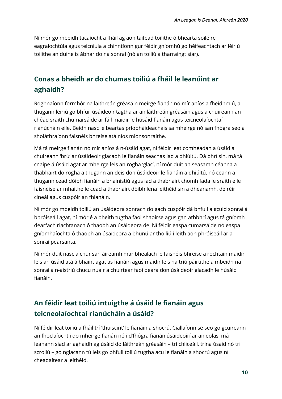Ní mór go mbeidh tacaíocht a fháil ag aon taifead toilithe ó bhearta soiléire eagraíochtúla agus teicniúla a chinntíonn gur féidir gníomhú go héifeachtach ar léiriú toilithe an duine is ábhar do na sonraí (nó an toiliú a tharraingt siar).

# <span id="page-10-0"></span>**Conas a bheidh ar do chumas toiliú a fháil le leanúint ar aghaidh?**

Roghnaíonn formhór na láithreán gréasáin meirge fianán nó mír aníos a fheidhmiú, a thugann léiriú go bhfuil úsáideoir tagtha ar an láithreán gréasáin agus a chuireann an chéad sraith chumarsáide ar fáil maidir le húsáid fianáin agus teicneolaíochtaí rianúcháin eile. Beidh nasc le beartas príobháideachais sa mheirge nó san fhógra seo a sholáthraíonn faisnéis bhreise atá níos mionsonraithe.

Má tá meirge fianán nó mír aníos á n-úsáid agat, ní féidir leat comhéadan a úsáid a chuireann 'brú' ar úsáideoir glacadh le fianáin seachas iad a dhiúltú. Dá bhrí sin, má tá cnaipe á úsáid agat ar mheirge leis an rogha 'glac', ní mór duit an seasamh céanna a thabhairt do rogha a thugann an deis don úsáideoir le fianáin a dhiúltú, nó ceann a thugann cead dóibh fianáin a bhainistiú agus iad a thabhairt chomh fada le sraith eile faisnéise ar mhaithe le cead a thabhairt dóibh lena leithéid sin a dhéanamh, de réir cineál agus cuspóir an fhianáin.

Ní mór go mbeidh toiliú an úsáideora sonrach do gach cuspóir dá bhfuil a gcuid sonraí á bpróiseáil agat, ní mór é a bheith tugtha faoi shaoirse agus gan athbhrí agus tá gníomh dearfach riachtanach ó thaobh an úsáideora de. Ní féidir easpa cumarsáide nó easpa gníomhaíochta ó thaobh an úsáideora a bhunú ar thoiliú i leith aon phróiseáil ar a sonraí pearsanta.

Ní mór duit nasc a chur san áireamh mar bhealach le faisnéis bhreise a rochtain maidir leis an úsáid atá á bhaint agat as fianáin agus maidir leis na tríú páirtithe a mbeidh na sonraí á n-aistriú chucu nuair a chuirtear faoi deara don úsáideoir glacadh le húsáid fianáin.

# <span id="page-10-1"></span>**An féidir leat toiliú intuigthe á úsáid le fianáin agus teicneolaíochtaí rianúcháin a úsáid?**

Ní féidir leat toiliú a fháil trí 'thuiscint' le fianáin a shocrú. Ciallaíonn sé seo go gcuireann an fhoclaíocht i do mheirge fianán nó i d'fhógra fianán úsáideoirí ar an eolas, má leanann siad ar aghaidh ag úsáid do láithreán gréasáin – trí chliceáil, trína úsáid nó trí scrollú – go nglacann tú leis go bhfuil toiliú tugtha acu le fianáin a shocrú agus ní cheadaítear a leithéid.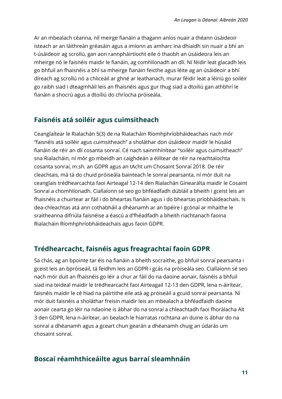Ar an mbealach céanna, níl meirge fianáin a thagann aníos nuair a théann úsáideoir isteach ar an láithreán gréasáin agus a imíonn as amharc ina dhiaidh sin nuair a bhí an t-úsáideoir ag scrollú, gan aon rannpháirtíocht eile ó thaobh an úsáideora leis an mheirge nó le faisnéis maidir le fianáin, ag comhlíonadh an dlí. Ní féidir leat glacadh leis go bhfuil an fhaisnéis a bhí sa mheirge fianáin feicthe agus léite ag an úsáideoir a bhí díreach ag scrollú nó a chliceáil ar ghné ar leathanach, murar féidir leat a léiriú go soiléir go raibh siad i dteagmháil leis an fhaisnéis agus gur thug siad a dtoiliú gan athbhrí le fianáin a shocrú agus a dtoiliú do chríocha próiseála.

#### <span id="page-11-0"></span>**Faisnéis atá soiléir agus cuimsitheach**

Ceanglaítear le Rialachán 5(3) de na Rialacháin Ríomhphríobháideachais nach mór "faisnéis atá soiléir agus cuimsitheach" a sholáthar don úsáideoir maidir le húsáid fianáin de réir an dlí cosanta sonraí. Cé nach sainmhínítear "soiléir agus cuimsitheach" sna Rialacháin, ní mór go mbeidh an caighdeán a éilítear de réir na reachtaíochta cosanta sonraí, m.sh. an GDPR agus an tAcht um Chosaint Sonraí 2018. De réir cleachtais, má tá do chuid próiseála bainteach le sonraí pearsanta, ní mór duit na ceanglais trédhearcachta faoi Airteagal 12-14 den Rialachán Ginearálta maidir le Cosaint Sonraí a chomhlíonadh. Ciallaíonn sé seo go bhféadfadh dúbláil a bheith i gceist leis an fhaisnéis a chuirtear ar fáil i do bheartas fianáin agus i do bheartas príobháideachais. Is dea-chleachtas atá ann cothabháil a dhéanamh ar an bpéire i gcónaí ar mhaithe le sraitheanna difriúla faisnéise a éascú a d'fhéadfadh a bheith riachtanach faoina Rialacháin Ríomhphríobháideachais agus faoin GDPR.

#### <span id="page-11-1"></span>**Trédhearcacht, faisnéis agus freagrachtaí faoin [GDPR](#page-11-1)**

Sa chás, ag an bpointe tar éis na fianáin a bheith socraithe, go bhfuil sonraí pearsanta i gceist leis an bpróiseáil, tá feidhm leis an GDPR i gcás na próiseála seo. Ciallaíonn sé seo nach mór duit an fhaisnéis go léir a chur ar fáil do na daoine aonair, faisnéis a bhfuil siad ina teideal maidir le trédhearcacht faoi Airteagail 12-13 den GDPR, lena n-áirítear, faisnéis maidir le cé hiad na páirtithe eile atá ag próiseáil a gcuid sonraí pearsanta. Ní mór duit faisnéis a sholáthar freisin maidir leis an mbealach a bhféadfaidh daoine aonair cearta go léir na ndaoine is ábhar do na sonraí a chleachtadh faoi fhorálacha Alt 3 den GDPR, lena n-áirítear, an bealach le hiarratas rochtana an duine is ábhar do na sonraí a dhéanamh agus a gceart chun gearán a dhéanamh chuig an údarás um chosaint sonraí.

#### <span id="page-11-2"></span>**Boscaí réamhthiceáilte agus [barraí sleamhnáin](#page-11-2)**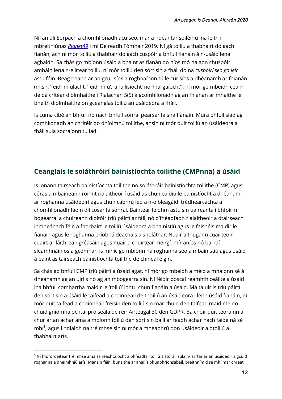Níl an dlí Eorpach á chomhlíonadh acu seo, mar a ndéantar soiléiriú ina leith i mbreithiúnas *[Planet49](http://curia.europa.eu/juris/document/document.jsf?text=&docid=218462&pageIndex=0&doclang=en&mode=lst&dir=&occ=first&part=1&cid=2631585)* i mí Deireadh Fómhair 2019. Ní gá toiliú a thabhairt do gach fianán, ach ní mór toiliú a thabhair do gach cuspóir a bhfuil fianáin á n-úsáid lena aghaidh. Sá chás go mbíonn úsáid a bhaint as fianán do níos mó ná aon chuspóir amháin lena n-éilítear toiliú, ní mór toiliú den sórt sin a fháil do na *cuspóirí seo go léir* astu féin. Beag beann ar an gcur síos a roghnaíonn tú le cur síos a dhéanamh ar fhianán (m.sh. 'feidhmiúlacht, 'feidhmiú', 'anailísíocht' nó 'margaíocht'), ní mór go mbeidh ceann de dá critéar díolmhaithe i Rialachán 5(5) á gcomhlíonadh ag an fhianán ar mhaithe le bheith díolmhaithe ón gceanglas toiliú an úsáideora a fháil.

Is cuma cibé an bhfuil nó nach bhfuil sonraí pearsanta sna fianáin. Mura bhfuil siad ag comhlíonadh an chritéir do dhíolmhú toilithe, ansin ní mór duit toiliú an úsáideora a fháil sula socraíonn tú iad.

#### <span id="page-12-0"></span>**Ceanglais le soláthróirí bainistíochta toilithe (CMPnna) a úsáid**

Is ionann tairseach bainistíochta toilithe nó soláthróir bainistíochta toilithe (CMP) agus córas a mbaineann roinnt rialaitheoirí úsáid as chun cuidiú le bainistíocht a dhéanamh ar roghanna úsáideoirí agus chun cabhrú leo a n-oibleagáidí trédhearcachta a chomhlíonadh faoin dlí cosanta sonraí. Baintear feidhm astu sin uaireanta i bhfoirm bogearraí a chuireann díoltóir tríú páirtí ar fáil, nó d'fhéadfadh rialaitheoir a dtairseach inmheánach féin a fhorbairt le toiliú úsáideora a bhainistiú agus le faisnéis maidir le fianáin agus le roghanna príobháideachais a sholáthar. Nuair a thugann cuairteoir cuairt ar láithreán gréasáin agus nuair a chuirtear meirgí, mír aníos nó barraí sleamhnáin os a gcomhar, is minic go mbíonn na roghanna seo á mbainistiú agus úsáid á baint as tairseach bainistíochta toilithe de chineál éigin.

Sa chás go bhfuil CMP tríú páirtí á úsáid agat, ní mór go mbeidh a méid a mhaíonn sé á dhéanamh ag an uirlis nó ag an mbogearra sin. Ní féidir boscaí réamhthiceáilte a úsáid ina bhfuil comhartha maidir le 'toiliú' iontu chun fianáin a úsáid. Má tá uirlis tríú páirtí den sórt sin a úsáid le taifead a choinneáil de thoiliú an úsáideora i leith úsáid fianáin, ní mór duit taifead a choinneáil freisin den toiliú sin mar chuid den taifead maidir le do chuid gníomhaíochtaí próiseála de réir Airteagal 30 den GDPR. Ba chóir duit teorainn a chur ar an achar ama a mbíonn toiliú den sórt sin bailí ar feadh achar nach faide ná sé mhí<sup>3</sup>, agus i ndiaidh na tréimhse sin ní mór a mheabhrú don úsáideoir a dtoiliú a thabhairt arís.

1

<sup>3</sup> Ní fhorordaítear tréimhse ama sa reachtaíocht a bhféadfar toiliú a stóráil sula n-iarrtar ar an úsáideoir a gcuid roghanna a dheimhniú arís. Mar sin féin, bunaithe ar anailís bhunphrionsabail, breithnímid sé mhí mar chreat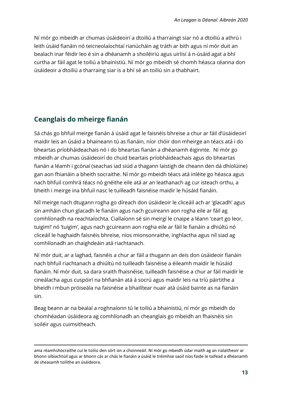Ní mór go mbeidh ar chumas úsáideoirí a dtoiliú a tharraingt siar nó a dtoiliú a athrú i leith úsáid fianáin nó teicneolaíochtaí rianúcháin ag tráth ar bith agus ní mór duit an bealach inar féidir leo é sin a dhéanamh a shoiléiriú agus uirlisí á n-úsáid agat a bhí curtha ar fáil agat le toiliú a bhainistiú. Ní mór go mbeidh sé chomh héasca céanna don úsáideoir a dtoiliú a tharraing siar is a bhí sé an toiliú sin a thabhairt.

#### <span id="page-13-0"></span>**Ceanglais do mheirge fianán**

Sá chás go bhfuil meirge fianán á úsáid agat le faisnéis bhreise a chur ar fáil d'úsáideoirí maidir leis an úsáid a bhaineann tú as fianáin, níor chóir don mheirge an téacs atá i do bheartas príobháideachais nó i do bheartas fianán a dhéanamh éiginnte. Ní mór go mbeidh ar chumas úsáideoirí do chuid beartais príobháideachais agus do bheartas fianán a léamh i gcónaí (seachas iad siúd a thagann laistigh de cheann den dá dhíolúine) gan aon fhianáin a bheith socraithe. Ní mór go mbeidh téacs atá inléite go héasca agus nach bhfuil comhrá téacs nó gnéithe eile atá ar an leathanach ag cur isteach orthu, a bheith i meirge ina bhfuil nasc le tuilleadh faisnéise maidir le húsáid fianáin.

Níl meirge nach dtugann rogha go díreach don úsáideoir le cliceáil ach ar 'glacadh' agus sin amháin chun glacadh le fianáin agus nach gcuireann aon rogha eile ar fáil ag comhlíonadh na reachtaíochta. Ciallaíonn sé sin meirgí le cnaipe a léann 'ceart go leor, tuigim!' nó 'tuigim', agus nach gcuireann aon rogha eile ar fáil le fianáin a dhiúltú nó cliceáil le haghaidh faisnéis bhreise, níos mionsonraithe, inghlactha agus níl siad ag comhlíonadh an chaighdeáin atá riachtanach.

Ní mór duit, ar a laghad, faisnéis a chur ar fáil a thugann an deis don úsáideoir fianáin nach bhfuil riachtanach a dhiúltú nó tuilleadh faisnéise a éileamh maidir le húsáid fianáin. Ní mór duit, sa dara sraith fhaisnéise, tuilleadh faisnéise a chur ar fáil maidir le cineálacha agus cuspóirí na bhfianán atá á socrú agus maidir leis na tríú páirtithe a bheidh i mbun próiseála na faisnéise a bhailítear nuair atá úsáid bainte as na fianáin sin.

Beag beann ar na bealaí a roghnaíonn tú le toiliú a bhainistiú, ní mór go mbeidh do chomhéadan úsáideora ag comhlíonadh an cheanglais go mbeidh an fhaisnéis sin soiléir agus cuimsitheach.

ama réamhshocraithe cuí le toiliú den sórt sin a choinneáil. Ní mór go mbeidh údar maith ag an rialaitheoir ar bhonn oibiachtúil agus ar bhonn cás ar chás le fianáin a úsáid le tréimhse saoil níos faide le taifead a dhéanamh de sheasamh toilithe an úsáideora.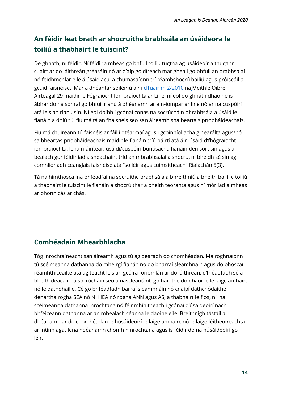# <span id="page-14-0"></span>**An féidir leat brath ar shocruithe brabhsála an úsáideora le toiliú a thabhairt le tuiscint?**

De ghnáth, ní féidir. Ní féidir a mheas go bhfuil toiliú tugtha ag úsáideoir a thugann cuairt ar do láithreán gréasáin nó ar d'aip go díreach mar gheall go bhfuil an brabhsálaí nó feidhmchlár eile á úsáid acu, a chumasaíonn trí réamhshocrú bailiú agus próiseáil a gcuid faisnéise. Mar a dhéantar soiléiriú air i dTuairim 2/2010 na Meithle Oibre Airteagal 29 maidir le Fógraíocht Iompraíochta ar Líne, ní eol do ghnáth dhaoine is ábhar do na sonraí go bhfuil rianú á dhéanamh ar a n-iompar ar líne nó ar na cuspóirí atá leis an rianú sin. Ní eol dóibh i gcónaí conas na socrúcháin bhrabhsála a úsáid le fianáin a dhiúltú, fiú má tá an fhaisnéis seo san áireamh sna beartais príobháideachais.

Fiú má chuireann tú faisnéis ar fáil i dtéarmaí agus i gcoinníollacha ginearálta agus/nó sa bheartas príobháideachais maidir le fianáin tríú páirtí atá á n-úsáid d'fhógraíocht iompraíochta, lena n-áirítear, úsáidí/cuspóirí bunúsacha fianáin den sórt sin agus an bealach gur féidir iad a sheachaint tríd an mbrabhsálaí a shocrú, ní bheidh sé sin ag comhlíonadh ceanglais faisnéise atá "soiléir agus cuimsitheach" Rialachán 5(3).

Tá na himthosca ina bhféadfaí na socruithe brabhsála a bhreithniú a bheith bailí le toiliú a thabhairt le tuiscint le fianáin a shocrú thar a bheith teoranta agus ní mór iad a mheas ar bhonn cás ar chás.

# <span id="page-14-1"></span>**Comhéadain Mhearbhlacha**

Tóg inrochtaineacht san áireamh agus tú ag dearadh do chomhéadan. Má roghnaíonn tú scéimeanna dathanna do mheirgí fianán nó do bharraí sleamhnáin agus do bhoscaí réamhthiceáilte atá ag teacht leis an gcúlra foriomlán ar do láithreán, d'fhéadfadh sé a bheith deacair na socrúcháin seo a nascleanúint, go háirithe do dhaoine le laige amhairc nó le dathdhaille. Cé go bhféadfadh barraí sleamhnáin nó cnaipí dathchódaithe dénártha rogha SEA nó NÍ HEA nó rogha ANN agus AS, a thabhairt le fios, níl na scéimeanna dathanna inrochtana nó féinmhínitheach i gcónaí d'úsáideoirí nach bhfeiceann dathanna ar an mbealach céanna le daoine eile. Breithnigh tástáil a dhéanamh ar do chomhéadan le húsáideoirí le laige amhairc nó le laige léitheoireachta ar intinn agat lena ndéanamh chomh hinrochtana agus is féidir do na húsáideoirí go léir.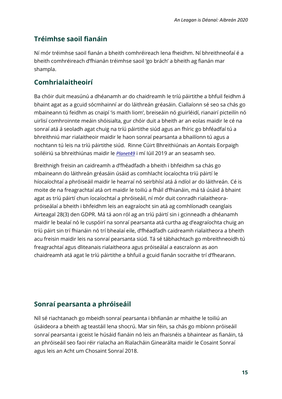# <span id="page-15-0"></span>**Tréimhse saoil fianáin**

Ní mór tréimhse saoil fianán a bheith comhréireach lena fheidhm. Ní bhreithneofaí é a bheith comhréireach d'fhianán tréimhse saoil 'go brách' a bheith ag fianán mar shampla.

#### **Comhrialaitheoirí**

Ba chóir duit measúnú a dhéanamh ar do chaidreamh le tríú páirtithe a bhfuil feidhm á bhaint agat as a gcuid sócmhainní ar do láithreán gréasáin. Ciallaíonn sé seo sa chás go mbaineann tú feidhm as cnaipí 'is maith liom', breiseáin nó giuirléidí, rianairí picteilín nó uirlisí comhroinnte meáin shóisialta, gur chóir duit a bheith ar an eolas maidir le cé na sonraí atá á seoladh agat chuig na tríú páirtithe siúd agus an fhíric go bhféadfaí tú a bhreithniú mar rialaitheoir maidir le haon sonraí pearsanta a bhailíonn tú agus a nochtann tú leis na tríú páirtithe siúd. Rinne Cúirt Bhreithiúnais an Aontais Eorpaigh soiléiriú sa bhreithiúnas maidir le *Planet49* i mí Iúil 2019 ar an seasamh seo.

Breithnigh freisin an caidreamh a d'fhéadfadh a bheith i bhfeidhm sa chás go mbaineann do láithreán gréasáin úsáid as comhlacht íocaíochta tríú páirtí le híocaíochtaí a phróiseáil maidir le hearraí nó seirbhísí atá á ndíol ar do láithreán. Cé is moite de na freagrachtaí atá ort maidir le toiliú a fháil d'fhianáin, má tá úsáid á bhaint agat as tríú páirtí chun íocaíochtaí a phróiseáil, ní mór duit conradh rialaitheorapróiseálaí a bheith i bhfeidhm leis an eagraíocht sin atá ag comhlíonadh ceanglais Airteagal 28(3) den GDPR. Má tá aon ról ag an tríú páirtí sin i gcinneadh a dhéanamh maidir le bealaí nó le cuspóirí na sonraí pearsanta atá curtha ag d'eagraíochta chuig an tríú páirt sin trí fhianáin nó trí bhealaí eile, d'fhéadfadh caidreamh rialaitheora a bheith acu freisin maidir leis na sonraí pearsanta siúd. Tá sé tábhachtach go mbreithneoidh tú freagrachtaí agus dliteanais rialaitheora agus próiseálaí a eascraíonn as aon chaidreamh atá agat le tríú páirtithe a bhfuil a gcuid fianán socraithe trí d'fhearann.

# **Sonraí pearsanta a phróiseáil**

Níl sé riachtanach go mbeidh sonraí pearsanta i bhfianán ar mhaithe le toiliú an úsáideora a bheith ag teastáil lena shocrú. Mar sin féin, sa chás go mbíonn próiseáil sonraí pearsanta i gceist le húsáid fianáin nó leis an fhaisnéis a bhaintear as fianáin, tá an phróiseáil seo faoi réir rialacha an Rialacháin Ginearálta maidir le Cosaint Sonraí agus leis an Acht um Chosaint Sonraí 2018.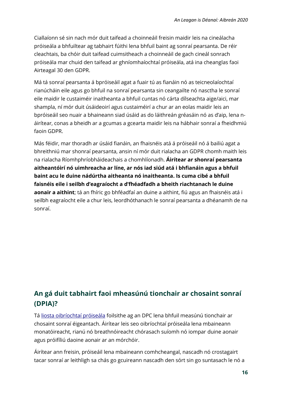Ciallaíonn sé sin nach mór duit taifead a choinneáil freisin maidir leis na cineálacha próiseála a bhfuiltear ag tabhairt fúithi lena bhfuil baint ag sonraí pearsanta. De réir cleachtais, ba chóir duit taifead cuimsitheach a choinneáil de gach cineál sonrach próiseála mar chuid den taifead ar ghníomhaíochtaí próiseála, atá ina cheanglas faoi Airteagal 30 den GDPR.

Má tá sonraí pearsanta á bpróiseáil agat a fuair tú as fianáin nó as teicneolaíochtaí rianúcháin eile agus go bhfuil na sonraí pearsanta sin ceangailte nó nasctha le sonraí eile maidir le custaiméir inaitheanta a bhfuil cuntas nó cárta dílseachta aige/aici, mar shampla, ní mór duit úsáideoirí agus custaiméirí a chur ar an eolas maidir leis an bpróiseáil seo nuair a bhaineann siad úsáid as do láithreán gréasáin nó as d'aip, lena náirítear, conas a bheidh ar a gcumas a gcearta maidir leis na hábhair sonraí a fheidhmiú faoin GDPR.

Más féidir, mar thoradh ar úsáid fianáin, an fhaisnéis atá á próiseáil nó á bailiú agat a bhreithniú mar shonraí pearsanta, ansin ní mór duit rialacha an GDPR chomh maith leis na rialacha Ríomhphríobháideachais a chomhlíonadh. **Áirítear ar shonraí pearsanta aitheantóirí nó uimhreacha ar líne, ar nós iad siúd atá i bhfianáin agus a bhfuil baint acu le duine nádúrtha aitheanta nó inaitheanta. Is cuma cibé a bhfuil faisnéis eile i seilbh d'eagraíocht a d'fhéadfadh a bheith riachtanach le duine aonair a aithint**; tá an fhíric go bhféadfaí an duine a aithint, fiú agus an fhaisnéis atá i seilbh eagraíocht eile a chur leis, leordhóthanach le sonraí pearsanta a dhéanamh de na sonraí.

# <span id="page-16-0"></span>**An gá duit tabhairt faoi mheasúnú tionchair ar chosaint sonraí [\(DPIA\)?](#page-16-0)**

Tá liosta oibríochtaí próiseála foilsithe ag an DPC lena bhfuil measúnú tionchair ar chosaint sonraí éigeantach. Áirítear leis seo oibríochtaí próiseála lena mbaineann monatóireacht, rianú nó breathnóireacht chórasach suíomh nó iompar duine aonair agus próifíliú daoine aonair ar an mórchóir.

Áirítear ann freisin, próiseáil lena mbaineann comhcheangal, nascadh nó crostagairt tacar sonraí ar leithligh sa chás go gcuireann nascadh den sórt sin go suntasach le nó a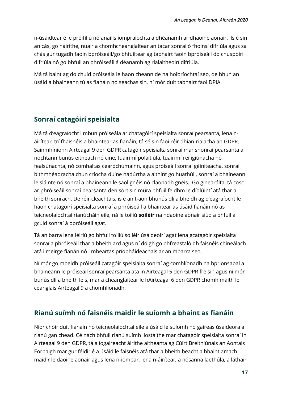n-úsáidtear é le próifíliú nó anailís iompraíochta a dhéanamh ar dhaoine aonair. Is é sin an cás, go háirithe, nuair a chomhcheanglaítear an tacar sonraí ó fhoinsí difriúla agus sa chás gur tugadh faoin bpróiseáil/go bhfuiltear ag tabhairt faoin bpróiseáil do chuspóirí difriúla nó go bhfuil an phróiseáil á déanamh ag rialaitheoirí difriúla.

Má tá baint ag do chuid próiseála le haon cheann de na hoibríochtaí seo, de bhun an úsáid a bhaineann tú as fianáin nó seachas sin, ní mór duit tabhairt faoi DPIA.

# <span id="page-17-0"></span>**Sonraí catagóirí speisialta**

Má tá d'eagraíocht i mbun próiseála ar chatagóirí speisialta sonraí pearsanta, lena náirítear, trí fhaisnéis a bhaintear as fianáin, tá sé sin faoi réir dhian-rialacha an GDPR. Sainmhíníonn Airteagal 9 den GDPR catagóir speisialta sonraí mar shonraí pearsanta a nochtann bunús eitneach nó cine, tuairimí polaitiúla, tuairimí reiligiúnacha nó fealsúnachta, nó comhaltas ceardchumainn, agus próiseáil sonraí géiniteacha, sonraí bithmhéadracha chun críocha duine nádúrtha a aithint go huathúil, sonraí a bhaineann le sláinte nó sonraí a bhaineann le saol gnéis nó claonadh gnéis. Go ginearálta, tá cosc ar phróiseáil sonraí pearsanta den sórt sin mura bhfuil feidhm le díolúintí atá thar a bheith sonrach. De réir cleachtais, is é an t-aon bhunús dlí a bheidh ag d'eagraíocht le haon chatagóirí speisialta sonraí a phróiseáil a bhaintear as úsáid fianáin nó as teicneolaíochtaí rianúcháin eile, ná le toiliú **soiléir** na ndaoine aonair siúd a bhfuil a gcuid sonraí á bpróiseáil agat.

Tá an barra lena léiriú go bhfuil toiliú soiléir úsáideoirí agat lena gcatagóir speisialta sonraí a phróiseáil thar a bheith ard agus ní dóigh go bhfreastalóidh faisnéis chineálach atá i meirge fianán nó i mbeartas príobháideachais ar an mbarra seo.

Ní mór go mbeidh próiseáil catagóir speisialta sonraí ag comhlíonadh na bprionsabal a bhaineann le próiseáil sonraí pearsanta atá in Airteagal 5 den GDPR freisin agus ní mór bunús dlí a bheith leis, mar a cheanglaítear le hAirteagal 6 den GDPR chomh maith le ceanglais Airteagal 9 a chomhlíonadh.

# <span id="page-17-1"></span>**Rianú suímh nó faisnéis maidir le suíomh a bhaint as fianáin**

Níor chóir duit fianáin nó teicneolaíochtaí eile a úsáid le suíomh nó gaireas úsáideora a rianú gan chead. Cé nach bhfuil rianú suímh liostaithe mar chatagóir speisialta sonraí in Airteagal 9 den GDPR, tá a íogaireacht áirithe aitheanta ag Cúirt Breithiúnais an Aontais Eorpaigh mar gur féidir é a úsáid le faisnéis atá thar a bheith beacht a bhaint amach maidir le daoine aonair agus lena n-iompar, lena n-áirítear, a nósanna laethúla, a láthair